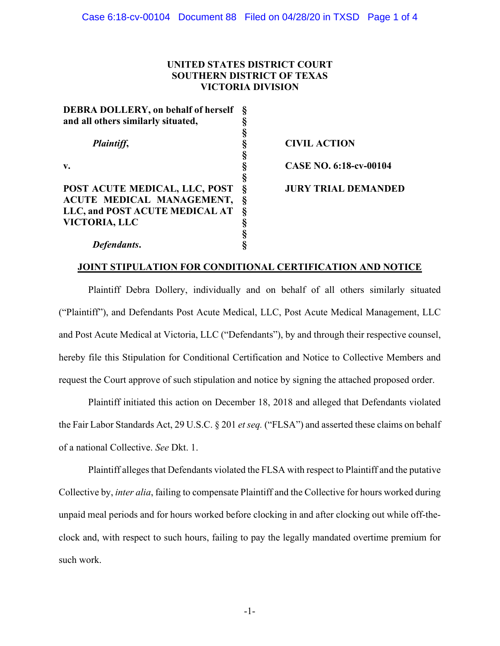# **UNITED STATES DISTRICT COURT SOUTHERN DISTRICT OF TEXAS VICTORIA DIVISION**

| <b>DEBRA DOLLERY, on behalf of herself</b> | §                |
|--------------------------------------------|------------------|
| and all others similarly situated,         | §                |
|                                            |                  |
| Plaintiff,                                 | §<br>§           |
|                                            | Ş                |
| v.                                         | §                |
|                                            |                  |
| POST ACUTE MEDICAL, LLC, POST              | S<br>S<br>S<br>S |
| ACUTE MEDICAL MANAGEMENT,                  |                  |
| LLC, and POST ACUTE MEDICAL AT             | $\check{\S}$     |
| <b>VICTORIA, LLC</b>                       | §                |
|                                            | Ş                |
| Defendants.                                |                  |

**CIVIL ACTION CASE NO. 6:18-cv-00104 JURY TRIAL DEMANDED** 

# **JOINT STIPULATION FOR CONDITIONAL CERTIFICATION AND NOTICE**

Plaintiff Debra Dollery, individually and on behalf of all others similarly situated ("Plaintiff"), and Defendants Post Acute Medical, LLC, Post Acute Medical Management, LLC and Post Acute Medical at Victoria, LLC ("Defendants"), by and through their respective counsel, hereby file this Stipulation for Conditional Certification and Notice to Collective Members and request the Court approve of such stipulation and notice by signing the attached proposed order.

Plaintiff initiated this action on December 18, 2018 and alleged that Defendants violated the Fair Labor Standards Act, 29 U.S.C. § 201 *et seq.* ("FLSA") and asserted these claims on behalf of a national Collective. *See* Dkt. 1.

Plaintiff alleges that Defendants violated the FLSA with respect to Plaintiff and the putative Collective by, *inter alia*, failing to compensate Plaintiff and the Collective for hours worked during unpaid meal periods and for hours worked before clocking in and after clocking out while off-theclock and, with respect to such hours, failing to pay the legally mandated overtime premium for such work.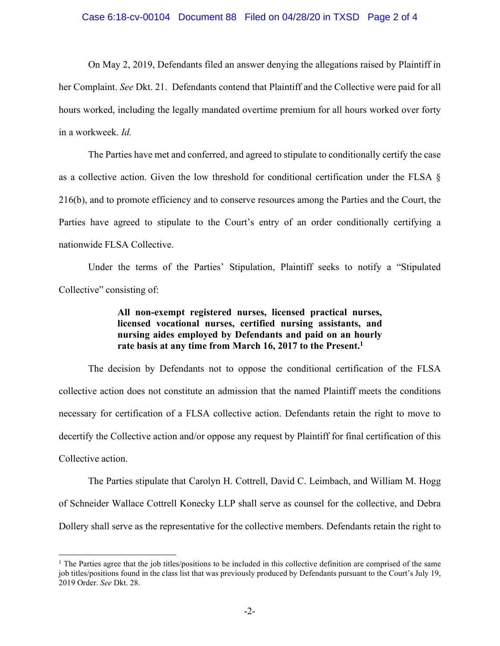#### Case 6:18-cv-00104 Document 88 Filed on 04/28/20 in TXSD Page 2 of 4

On May 2, 2019, Defendants filed an answer denying the allegations raised by Plaintiff in her Complaint. *See* Dkt. 21. Defendants contend that Plaintiff and the Collective were paid for all hours worked, including the legally mandated overtime premium for all hours worked over forty in a workweek. *Id.* 

The Parties have met and conferred, and agreed to stipulate to conditionally certify the case as a collective action. Given the low threshold for conditional certification under the FLSA § 216(b), and to promote efficiency and to conserve resources among the Parties and the Court, the Parties have agreed to stipulate to the Court's entry of an order conditionally certifying a nationwide FLSA Collective.

Under the terms of the Parties' Stipulation, Plaintiff seeks to notify a "Stipulated Collective" consisting of:

> **All non-exempt registered nurses, licensed practical nurses, licensed vocational nurses, certified nursing assistants, and nursing aides employed by Defendants and paid on an hourly rate basis at any time from March 16, 2017 to the Present.<sup>1</sup>**

The decision by Defendants not to oppose the conditional certification of the FLSA collective action does not constitute an admission that the named Plaintiff meets the conditions necessary for certification of a FLSA collective action. Defendants retain the right to move to decertify the Collective action and/or oppose any request by Plaintiff for final certification of this Collective action.

The Parties stipulate that Carolyn H. Cottrell, David C. Leimbach, and William M. Hogg of Schneider Wallace Cottrell Konecky LLP shall serve as counsel for the collective, and Debra Dollery shall serve as the representative for the collective members. Defendants retain the right to

<sup>&</sup>lt;sup>1</sup> The Parties agree that the job titles/positions to be included in this collective definition are comprised of the same job titles/positions found in the class list that was previously produced by Defendants pursuant to the Court's July 19, 2019 Order. *See* Dkt. 28.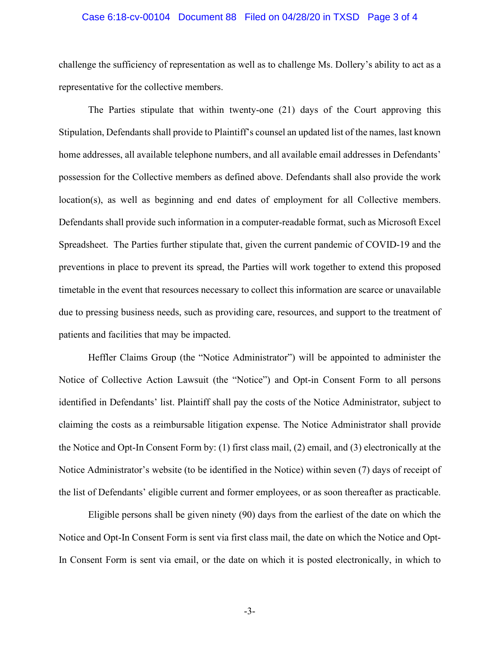#### Case 6:18-cv-00104 Document 88 Filed on 04/28/20 in TXSD Page 3 of 4

challenge the sufficiency of representation as well as to challenge Ms. Dollery's ability to act as a representative for the collective members.

The Parties stipulate that within twenty-one (21) days of the Court approving this Stipulation, Defendants shall provide to Plaintiff's counsel an updated list of the names, last known home addresses, all available telephone numbers, and all available email addresses in Defendants' possession for the Collective members as defined above. Defendants shall also provide the work location(s), as well as beginning and end dates of employment for all Collective members. Defendants shall provide such information in a computer-readable format, such as Microsoft Excel Spreadsheet. The Parties further stipulate that, given the current pandemic of COVID-19 and the preventions in place to prevent its spread, the Parties will work together to extend this proposed timetable in the event that resources necessary to collect this information are scarce or unavailable due to pressing business needs, such as providing care, resources, and support to the treatment of patients and facilities that may be impacted.

Heffler Claims Group (the "Notice Administrator") will be appointed to administer the Notice of Collective Action Lawsuit (the "Notice") and Opt-in Consent Form to all persons identified in Defendants' list. Plaintiff shall pay the costs of the Notice Administrator, subject to claiming the costs as a reimbursable litigation expense. The Notice Administrator shall provide the Notice and Opt-In Consent Form by: (1) first class mail, (2) email, and (3) electronically at the Notice Administrator's website (to be identified in the Notice) within seven (7) days of receipt of the list of Defendants' eligible current and former employees, or as soon thereafter as practicable.

Eligible persons shall be given ninety (90) days from the earliest of the date on which the Notice and Opt-In Consent Form is sent via first class mail, the date on which the Notice and Opt-In Consent Form is sent via email, or the date on which it is posted electronically, in which to